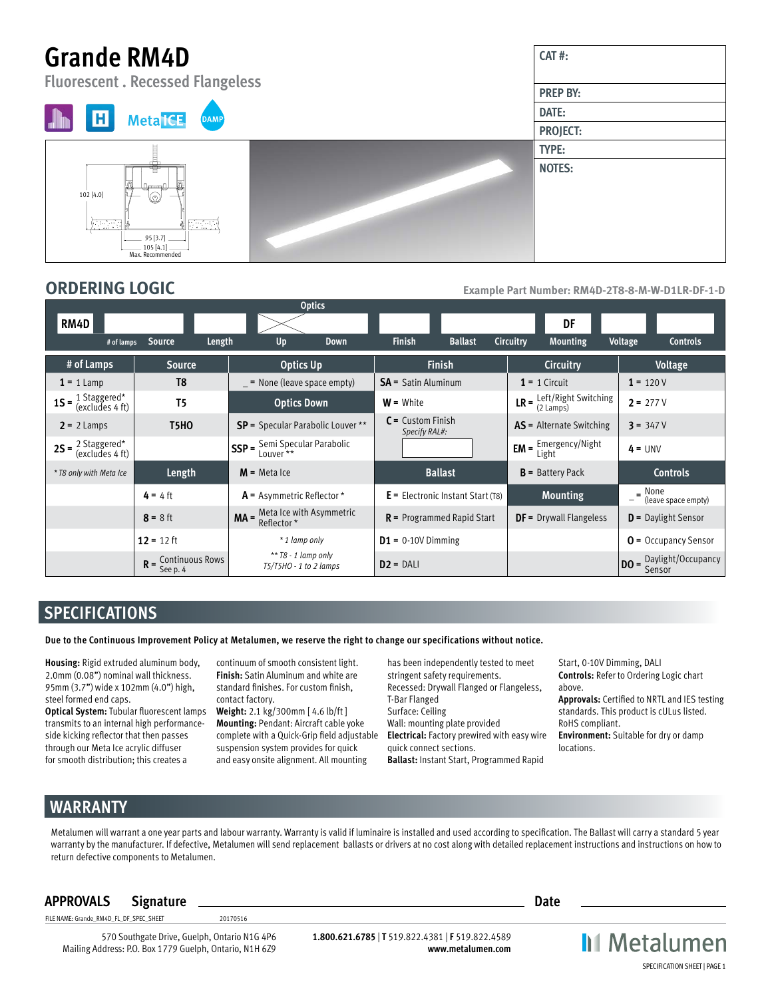# **Grande RM4D**

**Fluorescent . Recessed Flangeless**





**ORDERING LOGIC Example Part Number: RM4D-2T8-8-M-W-D1LR-DF-1-D** 

**CAT #:**

**PREP BY: DATE: PROJECT: TYPE: NOTES:**

|                                                                    |                       | <b>Optics</b>                                                                  |                                      |                                                                   |                                   |
|--------------------------------------------------------------------|-----------------------|--------------------------------------------------------------------------------|--------------------------------------|-------------------------------------------------------------------|-----------------------------------|
| RM4D                                                               |                       |                                                                                |                                      | DF                                                                |                                   |
| # of lamps                                                         | Source<br>Length      | Up<br><b>Down</b>                                                              | <b>Finish</b><br><b>Ballast</b>      | <b>Circuitry</b><br><b>Mounting</b>                               | <b>Voltage</b><br><b>Controls</b> |
| # of Lamps                                                         | <b>Source</b>         | Optics Up                                                                      | <b>Finish</b>                        | Circuitry                                                         | Voltage                           |
| $1 = 1$ Lamp                                                       | T <sub>8</sub>        | $=$ None (leave space empty)                                                   | <b>SA</b> = Satin Aluminum           | $1 = 1$ Circuit                                                   | $1 = 120V$                        |
| <b>1S</b> = $\frac{1 \text{ Staggered}^*}{(\text{excludes 4 ft})}$ | T <sub>5</sub>        | <b>Optics Down</b>                                                             | $W = White$                          | <b>LR</b> = $\frac{\text{Left/Right Switching}}{2 \text{ Lamps}}$ | $2 = 277V$                        |
| $2 = 2$ Lamps                                                      | <b>T5HO</b>           | <b>SP</b> = Specular Parabolic Louver **                                       | $C =$ Custom Finish<br>Specify RAL#: | <b>AS</b> = Alternate Switching                                   | $3 = 347V$                        |
| <b>2S</b> = $\frac{2 \text{ Staggered}^*}{(\text{excludes 4 ft})}$ |                       | $\mathsf{SSP} = \frac{\mathsf{Semi\,Specular\,Parabolic}}{\mathsf{Lower}\,**}$ |                                      | <b>EM</b> = $\frac{Emergency/Night}{1.7.64}$<br>Light             | $4 = UNV$                         |
| * T8 only with Meta Ice                                            | Length                | $M$ = Meta Ice                                                                 | <b>Ballast</b>                       | $B =$ Battery Pack                                                | <b>Controls</b>                   |
|                                                                    | $4 = 4$ ft            | $A =$ Asymmetric Reflector *                                                   | $E =$ Electronic Instant Start (T8)  | <b>Mounting</b>                                                   | $=$ None<br>(leave space empty)   |
|                                                                    | $8 = 8$ ft            | <b>MA</b> = $\frac{\text{Meta}}{\text{Reflection}}$ *                          | $R$ = Programmed Rapid Start         | <b>DF</b> = Drywall Flangeless                                    | $D =$ Daylight Sensor             |
|                                                                    | $12 = 12$ ft          | * 1 lamp only                                                                  | $D1 = 0.10V$ Dimming                 |                                                                   | $O =$ Occupancy Sensor            |
|                                                                    | $R =$ Continuous Rows | $**$ T8 - 1 lamp only<br>$T5/T5HO - 1$ to 2 lamps                              | $D2 = DAL$                           |                                                                   | <b>DO</b> = Daylight/Occupancy    |

## **SPECIFICATIONS**

**Due to the Continuous Improvement Policy at Metalumen, we reserve the right to change our specifications without notice.** 

**Housing:** Rigid extruded aluminum body, 2.0mm (0.08") nominal wall thickness. 95mm (3.7") wide x 102mm (4.0") high, steel formed end caps.

**Optical System:** Tubular fluorescent lamps transmits to an internal high performanceside kicking reflector that then passes through our Meta Ice acrylic diffuser for smooth distribution; this creates a

continuum of smooth consistent light. **Finish:** Satin Aluminum and white are standard finishes. For custom finish, contact factory.

**Weight:** 2.1 kg/300mm [ 4.6 lb/ft ] **Mounting:** Pendant: Aircraft cable yoke complete with a Quick-Grip field adjustable suspension system provides for quick and easy onsite alignment. All mounting

has been independently tested to meet stringent safety requirements. Recessed: Drywall Flanged or Flangeless, T-Bar Flanged Surface: Ceiling Wall: mounting plate provided **Electrical:** Factory prewired with easy wire quick connect sections. **Ballast:** Instant Start, Programmed Rapid

Start, 0-10V Dimming, DALI **Controls:** Refer to Ordering Logic chart above.

**Approvals:** Certified to NRTL and IES testing standards. This product is cULus listed. RoHS compliant.

**Environment:** Suitable for dry or damp locations.

# **WARRANTY**

Metalumen will warrant a one year parts and labour warranty. Warranty is valid if luminaire is installed and used according to specification. The Ballast will carry a standard 5 year warranty by the manufacturer. If defective, Metalumen will send replacement ballasts or drivers at no cost along with detailed replacement instructions and instructions on how to return defective components to Metalumen.

### **APPROVALS Signature Date**

FILE NAME: Grande\_RM4D\_FL\_DF\_SPEC\_SHEET 20170516

570 Southgate Drive, Guelph, Ontario N1G 4P6 Mailing Address: P.O. Box 1779 Guelph, Ontario, N1H 6Z9

**1.800.621.6785** | **T** 519.822.4381 | **F** 519.822.4589 **www.metalumen.com**

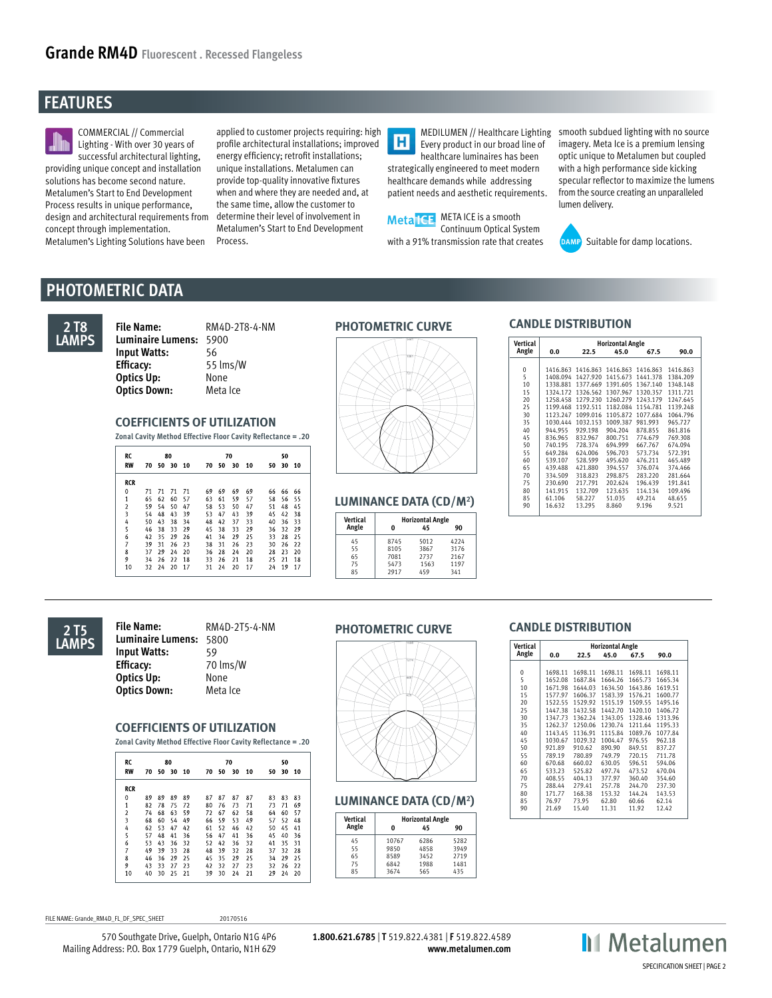# **FEATURES**



COMMERCIAL // Commercial Lighting - With over 30 years of successful architectural lighting, providing unique concept and installation solutions has become second nature. Metalumen's Start to End Development Process results in unique performance, design and architectural requirements from concept through implementation. Metalumen's Lighting Solutions have been

applied to customer projects requiring: high profile architectural installations; improved energy efficiency; retrofit installations; unique installations. Metalumen can provide top-quality innovative fixtures when and where they are needed and, at the same time, allow the customer to determine their level of involvement in Metalumen's Start to End Development Process.

 $\overline{\mathbf{H}}$ Every product in our broad line of healthcare luminaires has been strategically engineered to meet modern healthcare demands while addressing patient needs and aesthetic requirements.



MEDILUMEN // Healthcare Lighting smooth subdued lighting with no source imagery. Meta Ice is a premium lensing optic unique to Metalumen but coupled with a high performance side kicking specular reflector to maximize the lumens from the source creating an unparalleled lumen delivery.



Suitable for damp locations.

# **PHOTOMETRIC DATA**



**File Name:** RM4D-2T8-4-NM **PHOTOMETRIC CURVE Luminaire Lumens:** 5900 **Input Watts: Efficacy:** 55 lms/W **Optics Up:** None<br> **Optics Down:** Meta Ice **Optics Down:** 

### **COEFFICIENTS OF UTILIZATION**

**Zonal Cavity Method Effective Floor Cavity Reflectance = .20**

| RC                      |    |    | 80 |    |    | 70 |    |    |    | 50 |    |  |  |
|-------------------------|----|----|----|----|----|----|----|----|----|----|----|--|--|
| <b>RW</b>               | 70 | 50 | 30 | 10 | 70 | 50 | 30 | 10 | 50 | 30 | 10 |  |  |
| <b>RCR</b>              |    |    |    |    |    |    |    |    |    |    |    |  |  |
| 0                       | 71 | 71 | 71 | 71 | 69 | 69 | 69 | 69 | 66 | 66 | 66 |  |  |
| 1                       | 65 | 62 | 60 | 57 | 63 | 61 | 59 | 57 | 58 | 56 | 55 |  |  |
| $\overline{2}$          | 59 | 54 | 50 | 47 | 58 | 53 | 50 | 47 | 51 | 48 | 45 |  |  |
| $\overline{\mathbf{3}}$ | 54 | 48 | 43 | 39 | 53 | 47 | 43 | 39 | 45 | 42 | 38 |  |  |
| 4                       | 50 | 43 | 38 | 34 | 48 | 42 | 37 | 33 | 40 | 36 | 33 |  |  |
| 5                       | 46 | 38 | 33 | 29 | 45 | 38 | 33 | 29 | 36 | 32 | 29 |  |  |
| 6                       | 42 | 35 | 29 | 26 | 41 | 34 | 29 | 25 | 33 | 28 | 25 |  |  |
| 7                       | 39 | 31 | 26 | 23 | 38 | 31 | 26 | 23 | 30 | 26 | 22 |  |  |
| 8                       | 37 | 29 | 24 | 20 | 36 | 28 | 24 | 20 | 28 | 23 | 20 |  |  |
| 9                       | 34 | 26 | 22 | 18 | 33 | 26 | 21 | 18 | 25 | 21 | 18 |  |  |
| 10                      | 32 | 24 | 20 | 17 | 31 | 24 | 20 | 17 | 24 | 19 | 17 |  |  |



| Vertical | <b>Horizontal Angle</b> |      |      |  |  |  |  |  |
|----------|-------------------------|------|------|--|--|--|--|--|
| Angle    | U                       | 45   | 90   |  |  |  |  |  |
| 45       | 8745                    | 5012 | 4224 |  |  |  |  |  |
| 55       | 8105                    | 3867 | 3176 |  |  |  |  |  |
| 65       | 7081                    | 2737 | 2167 |  |  |  |  |  |
| 75       | 5473                    | 1563 | 1197 |  |  |  |  |  |
| 85       | 2917                    | 459  | 341  |  |  |  |  |  |

### **CANDLE DISTRIBUTION**

|                                          | <b>Vertical</b> |          |                                     | <b>Horizontal Angle</b> |          |          |
|------------------------------------------|-----------------|----------|-------------------------------------|-------------------------|----------|----------|
| 051                                      | Angle           | 0.0      | 22.5                                | 45.0                    | 67.5     | 90.0     |
|                                          |                 |          |                                     |                         |          |          |
|                                          | $\mathbf 0$     |          | 1416.863 1416.863 1416.863 1416.863 |                         |          | 1416.863 |
|                                          | 5               |          | 1408.094 1427.920 1415.673 1441.378 |                         |          | 1384.209 |
|                                          | 10              |          | 1338.881 1377.669 1391.605 1367.140 |                         |          | 1348.148 |
|                                          | 15              |          | 1324.172 1326.562 1307.967 1320.357 |                         |          | 1311.721 |
|                                          | 20              |          | 1258.458 1279.230 1260.279 1243.179 |                         |          | 1247.645 |
|                                          | 25              |          | 1199.468 1192.511 1182.084 1154.781 |                         |          | 1139.248 |
|                                          | 30              |          | 1123.247 1099.016 1105.872          |                         | 1077.684 | 1064.796 |
|                                          | 35              | 1030.444 | 1032.153                            | 1009.387                | 981.993  | 965.727  |
|                                          | 40              | 944.955  | 929.198                             | 904.204                 | 878.855  | 861.816  |
|                                          | 45              | 836.965  | 832.967                             | 800.751                 | 774,679  | 769.308  |
|                                          | 50              | 740.195  | 728.374                             | 694.999                 | 667.767  | 674.094  |
|                                          | 55              | 649.284  | 624.006                             | 596.703                 | 573.734  | 572.391  |
|                                          | 60              | 539,107  | 528.599                             | 495.620                 | 476.211  | 465.489  |
|                                          | 65              | 439,488  | 421.880                             | 394.557                 | 376.074  | 374.466  |
|                                          | 70              | 334.509  | 318,823                             | 298.875                 | 283,220  | 281.664  |
|                                          | 75              | 230.690  | 217.791                             | 202.624                 | 196.439  | 191.841  |
|                                          | 80              | 141.915  | 132.709                             | 123.635                 | 114.134  | 109.496  |
| <b>LUMINANCE DATA (CD/M<sup>2</sup>)</b> | 85              | 61.106   | 58.227                              | 51.035                  | 49.214   | 48.655   |
|                                          | 90              | 16.632   | 13.295                              | 8.860                   | 9.196    | 9.521    |
|                                          |                 |          |                                     |                         |          |          |



**PHOTOMETRIC CURVE File Name:** RM4D-2T5-4-NM **Luminaire Lumens:** 5800 **Input Watts:** 59 **Efficacy:** 70 lms/W **Optics Up:** None **Optics Down:** Meta Ice

### **COEFFICIENTS OF UTILIZATION**

**Zonal Cavity Method Effective Floor Cavity Reflectance = .20**

| RC             | 80 |    |    |      |    |    | 70 |    |    | 50 |      |
|----------------|----|----|----|------|----|----|----|----|----|----|------|
| <b>RW</b>      | 70 | 50 | 30 | - 10 | 70 | 50 | 30 | 10 | 50 | 30 | - 10 |
| <b>RCR</b>     |    |    |    |      |    |    |    |    |    |    |      |
| 0              | 89 | 89 | 89 | 89   | 87 | 87 | 87 | 87 | 83 | 83 | 83   |
| 1              | 82 | 78 | 75 | 72   | 80 | 76 | 73 | 71 | 73 | 71 | 69   |
| $\overline{2}$ | 74 | 68 | 63 | 59   | 72 | 67 | 62 | 58 | 64 | 60 | 57   |
| 3              | 68 | 60 | 54 | 49   | 66 | 59 | 53 | 49 | 57 | 52 | 48   |
| 4              | 62 | 53 | 47 | 42   | 61 | 52 | 46 | 42 | 50 | 45 | 41   |
| 5              | 57 | 48 | 41 | 36   | 56 | 47 | 41 | 36 | 45 | 40 | 36   |
| 6              | 53 | 43 | 36 | 32   | 52 | 42 | 36 | 32 | 41 | 35 | 31   |
| 7              | 49 | 39 | 33 | 28   | 48 | 39 | 32 | 28 | 37 | 32 | 28   |
| 8              | 46 | 36 | 29 | 25   | 45 | 35 | 29 | 25 | 34 | 29 | 25   |
| 9              | 43 | 33 | 27 | 23   | 42 | 32 | 27 | 23 | 32 | 26 | 22   |
| 10             | 40 | 30 | 25 | 21   | 39 | 30 | 24 | 21 | 29 | 24 | 20   |



| <b>Vertical</b> |                    | <b>Horizontal Angle</b> |      |  |  |  |
|-----------------|--------------------|-------------------------|------|--|--|--|
| Angle           |                    | 45                      | 90   |  |  |  |
| 45              | 10767              | 6286                    | 5282 |  |  |  |
| 55              | 9850               | 4858                    | 3949 |  |  |  |
| 65              | 8589               | 3452                    | 2719 |  |  |  |
| 75              | 6842               | 1988                    | 1481 |  |  |  |
| 85              | 3674<br>565<br>435 |                         |      |  |  |  |

### **CANDLE DISTRIBUTION**

| लस                                       | <b>Vertical</b>                                                        |                                                                                                                      |                                                                                                                      | <b>Horizontal Angle</b>                                                                                              |                                                                                                                     |                                                                                                                     |
|------------------------------------------|------------------------------------------------------------------------|----------------------------------------------------------------------------------------------------------------------|----------------------------------------------------------------------------------------------------------------------|----------------------------------------------------------------------------------------------------------------------|---------------------------------------------------------------------------------------------------------------------|---------------------------------------------------------------------------------------------------------------------|
|                                          | Angle                                                                  | 0.0                                                                                                                  | 22.5                                                                                                                 | 45.0                                                                                                                 | 67.5                                                                                                                | 90.0                                                                                                                |
| 1274                                     | $\mathbf 0$<br>5<br>10<br>15<br>20<br>25<br>30<br>35<br>40<br>45<br>50 | 1698.11<br>1652.08<br>1671.98<br>1577.97<br>1522.55<br>1447.38<br>1347.73<br>1262.37<br>1143.45<br>1030.67<br>921.89 | 1698.11<br>1687.84<br>1644.03<br>1606.37<br>1529.92<br>1432.58<br>1362.24<br>1250.06<br>1136.91<br>1029.32<br>910.62 | 1698.11<br>1664.26<br>1634.50<br>1583.39<br>1515.19<br>1442.70<br>1343.05<br>1230.74<br>1115.84<br>1004.47<br>890.90 | 1698.11<br>1665.73<br>1643.86<br>1576.21<br>1509.55<br>1420.10<br>1328.46<br>1211.64<br>1089.76<br>976.55<br>849.51 | 1698.11<br>1665.34<br>1619.51<br>1600.77<br>1495.16<br>1406.72<br>1313.96<br>1195.33<br>1077.84<br>962.18<br>837.27 |
|                                          | 55                                                                     | 789.19                                                                                                               | 780.89                                                                                                               | 749.79                                                                                                               | 720.15                                                                                                              | 711.78                                                                                                              |
|                                          | 60                                                                     | 670.68                                                                                                               | 660.02                                                                                                               | 630.05                                                                                                               | 596.51                                                                                                              | 594.06                                                                                                              |
|                                          | 65                                                                     | 533.23                                                                                                               | 525.82                                                                                                               | 497.74                                                                                                               | 473.52                                                                                                              | 470.04                                                                                                              |
|                                          | 70                                                                     | 408.55                                                                                                               | 404.13                                                                                                               | 377.97                                                                                                               | 360.40                                                                                                              | 354.60                                                                                                              |
|                                          | 75                                                                     | 288.44                                                                                                               | 279.41                                                                                                               | 257.78                                                                                                               | 244.70                                                                                                              | 237.30                                                                                                              |
|                                          | 80                                                                     | 171.77                                                                                                               | 168.38                                                                                                               | 153.32                                                                                                               | 144.24                                                                                                              | 143.53                                                                                                              |
| <b>LUMINANCE DATA (CD/M<sup>2</sup>)</b> | 85                                                                     | 76.97                                                                                                                | 73.95                                                                                                                | 62.80                                                                                                                | 60.66                                                                                                               | 62.14                                                                                                               |
|                                          | 90                                                                     | 21.69                                                                                                                | 15.40                                                                                                                | 11.31                                                                                                                | 11.92                                                                                                               | 12.42                                                                                                               |
|                                          |                                                                        |                                                                                                                      |                                                                                                                      |                                                                                                                      |                                                                                                                     |                                                                                                                     |

FILE NAME: Grande RM4D\_FL\_DF\_SPEC\_SHEET 20170516

570 Southgate Drive, Guelph, Ontario N1G 4P6 Mailing Address: P.O. Box 1779 Guelph, Ontario, N1H 6Z9

**1.800.621.6785** | **T** 519.822.4381 | **F** 519.822.4589 **www.metalumen.com**

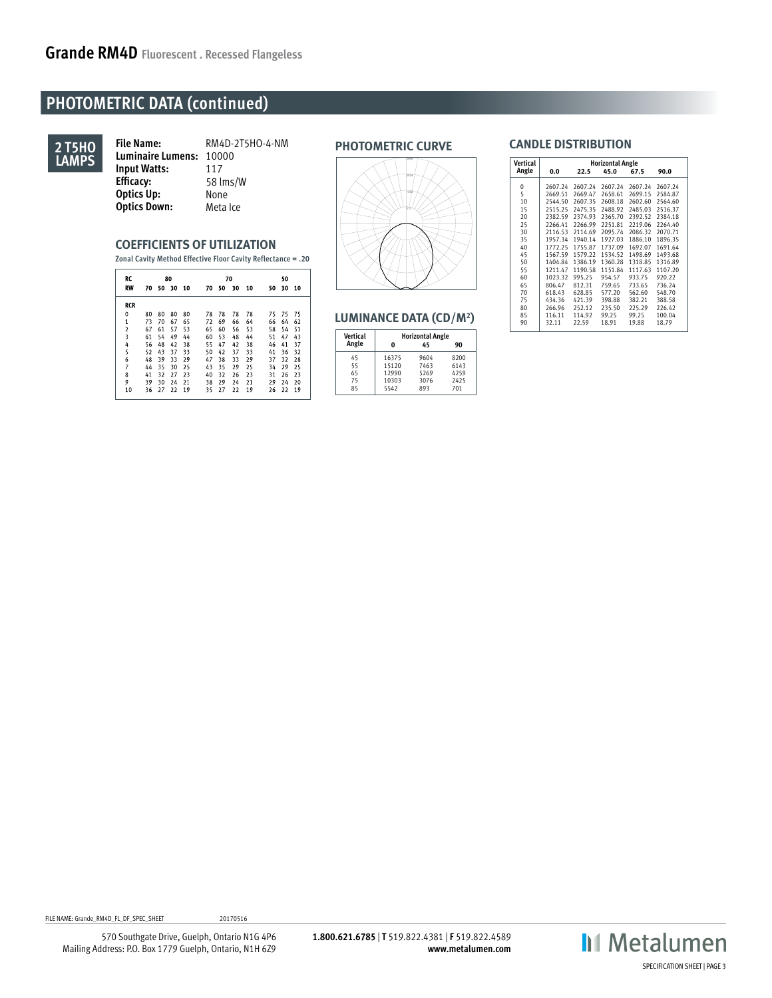# **PHOTOMETRIC DATA (continued)**



**PHOTOMETRIC CURVE File Name:** RM4D-2T5HO-4-NM **Luminaire Lumens:** 10000 **Input Watts:** 117<br>**Efficacy:** 58 In **Efficacy:** 58 lms/W **Optics Up:** None<br> **Optics Down:** Meta Ice **Optics Down:** 

### **COEFFICIENTS OF UTILIZATION**

**Zonal Cavity Method Effective Floor Cavity Reflectance = .20**

| RC             | 80 |    |       |      |    | 70 |    |    |    | 50 |    |  |  |
|----------------|----|----|-------|------|----|----|----|----|----|----|----|--|--|
| <b>RW</b>      | 70 |    | 50 30 | - 10 | 70 | 50 | 30 | 10 | 50 | 30 | 10 |  |  |
| <b>RCR</b>     |    |    |       |      |    |    |    |    |    |    |    |  |  |
| 0              | 80 | 80 | 80    | 80   | 78 | 78 | 78 | 78 | 75 | 75 | 75 |  |  |
| $\mathbf{1}$   | 73 | 70 | 67    | 65   | 72 | 69 | 66 | 64 | 66 | 64 | 62 |  |  |
| $\overline{2}$ | 67 | 61 | 57    | 53   | 65 | 60 | 56 | 53 | 58 | 54 | 51 |  |  |
| 3              | 61 | 54 | 49    | 44   | 60 | 53 | 48 | 44 | 51 | 47 | 43 |  |  |
| 4              | 56 | 48 | 42    | 38   | 55 | 47 | 42 | 38 | 46 | 41 | 37 |  |  |
| 5              | 52 | 43 | 37    | 33   | 50 | 42 | 37 | 33 | 41 | 36 | 32 |  |  |
| 6              | 48 | 39 | 33    | 29   | 47 | 38 | 33 | 29 | 37 | 32 | 28 |  |  |
| 7              | 44 | 35 | 30    | 25   | 43 | 35 | 29 | 25 | 34 | 29 | 25 |  |  |
| 8              | 41 | 32 | 27    | 23   | 40 | 32 | 26 | 23 | 31 | 26 | 23 |  |  |
| 9              | 39 | 30 | 24    | 21   | 38 | 29 | 24 | 21 | 29 | 24 | 20 |  |  |
| 10             | 36 | 27 | 22    | 19   | 35 | 27 | 22 | 19 | 26 | 22 | 19 |  |  |



| <b>Vertical</b> |       | <b>Horizontal Angle</b> |      |  |
|-----------------|-------|-------------------------|------|--|
| Angle           | 0     | 45                      | 90   |  |
| 45              | 16375 | 9604                    | 8200 |  |
| 55              | 15120 | 7463                    | 6143 |  |
| 65              | 12990 | 5269                    | 4259 |  |
| 75              | 10303 | 3076                    | 2425 |  |
| 85              | 5542  | 893                     | 701  |  |
|                 |       |                         |      |  |

### **CANDLE DISTRIBUTION**

| ठारर                                     | <b>Vertical</b> |         |         | <b>Horizontal Angle</b> |         |         |
|------------------------------------------|-----------------|---------|---------|-------------------------|---------|---------|
| 6729                                     | Angle           | 0.0     | 22.5    | 45.0                    | 67.5    | 90.0    |
|                                          | 0               | 2607.24 | 2607.24 | 2607.24                 | 2607.24 | 2607.24 |
|                                          | 5               | 2669.51 | 2669.47 | 2658.61                 | 2699.15 | 2584.87 |
|                                          | 10              | 2544.50 | 2607.35 | 2608.18                 | 2602.60 | 2564.60 |
|                                          | 15              | 2515.25 | 2475.35 | 2488.92                 | 2485.03 | 2516.37 |
|                                          | 20              | 2382.59 | 2374.93 | 2365.70                 | 2392.52 | 2384.18 |
|                                          | 25              | 2266.41 | 2266.99 | 2251.81                 | 2219.06 | 2264.40 |
|                                          | 30              | 2116.53 | 2114.69 | 2095.74                 | 2086.32 | 2070.71 |
|                                          | 35              | 1957.34 | 1940.14 | 1927.03                 | 1886.10 | 1896.35 |
|                                          | 40              | 1772.25 | 1755.87 | 1737.09                 | 1692.07 | 1691.64 |
|                                          | 45              | 1567.59 | 1579.22 | 1534.52                 | 1498.69 | 1493.68 |
|                                          | 50              | 1404.84 | 1386.19 | 1360.28                 | 1318.85 | 1316.89 |
|                                          | 55              | 1211.47 | 1190.58 | 1151.84                 | 1117.63 | 1107.20 |
|                                          | 60              | 1023.32 | 995.25  | 954.57                  | 933.75  | 920.22  |
|                                          | 65              | 806.47  | 812.31  | 759.65                  | 733.65  | 736.24  |
|                                          | 70              | 618.43  | 628.85  | 577.20                  | 562.60  | 548.70  |
|                                          | 75              | 434.36  | 421.39  | 398.88                  | 382.21  | 388.58  |
|                                          | 80              | 266.96  | 252.12  | 235.50                  | 225.29  | 226.42  |
| <b>LUMINANCE DATA (CD/M<sup>2</sup>)</b> | 85              | 116.11  | 114.92  | 99.25                   | 99.25   | 100.04  |
|                                          | 90              | 32.11   | 22.59   | 18.91                   | 19.88   | 18.79   |

FILE NAME: Grande\_RM4D\_FL\_DF\_SPEC\_SHEET 20170516

570 Southgate Drive, Guelph, Ontario N1G 4P6 Mailing Address: P.O. Box 1779 Guelph, Ontario, N1H 6Z9